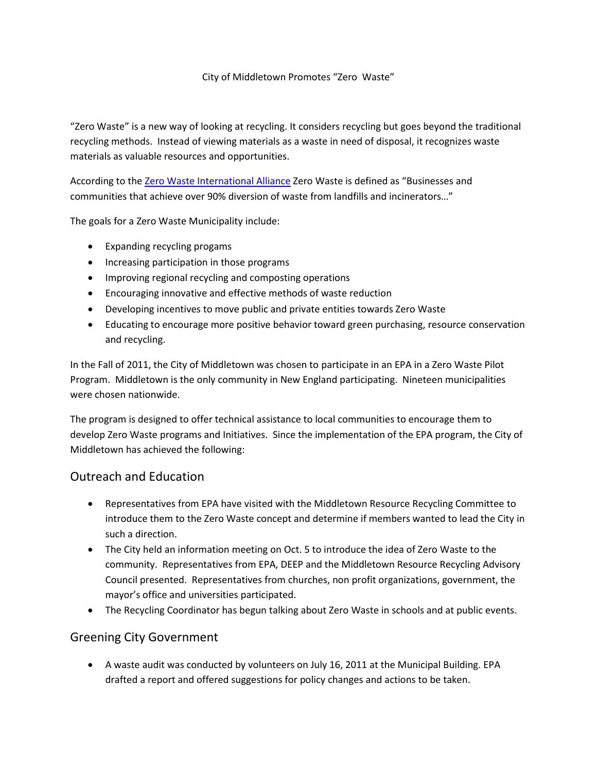## City of Middletown Promotes "Zero Waste"

"Zero Waste" is a new way of looking at recycling. It considers recycling but goes beyond the traditional recycling methods. Instead of viewing materials as a waste in need of disposal, it recognizes waste materials as valuable resources and opportunities.

According to th[e Zero Waste International Alliance](http://zwia.org/) Zero Waste is defined as "Businesses and communities that achieve over 90% diversion of waste from landfills and incinerators…"

The goals for a Zero Waste Municipality include:

- Expanding recycling progams
- Increasing participation in those programs
- Improving regional recycling and composting operations
- Encouraging innovative and effective methods of waste reduction
- Developing incentives to move public and private entities towards Zero Waste
- Educating to encourage more positive behavior toward green purchasing, resource conservation and recycling.

In the Fall of 2011, the City of Middletown was chosen to participate in an EPA in a Zero Waste Pilot Program. Middletown is the only community in New England participating. Nineteen municipalities were chosen nationwide.

The program is designed to offer technical assistance to local communities to encourage them to develop Zero Waste programs and Initiatives. Since the implementation of the EPA program, the City of Middletown has achieved the following:

## Outreach and Education

- Representatives from EPA have visited with the Middletown Resource Recycling Committee to introduce them to the Zero Waste concept and determine if members wanted to lead the City in such a direction.
- The City held an information meeting on Oct. 5 to introduce the idea of Zero Waste to the community. Representatives from EPA, DEEP and the Middletown Resource Recycling Advisory Council presented. Representatives from churches, non profit organizations, government, the mayor's office and universities participated.
- The Recycling Coordinator has begun talking about Zero Waste in schools and at public events.

## Greening City Government

 A waste audit was conducted by volunteers on July 16, 2011 at the Municipal Building. EPA drafted a report and offered suggestions for policy changes and actions to be taken.